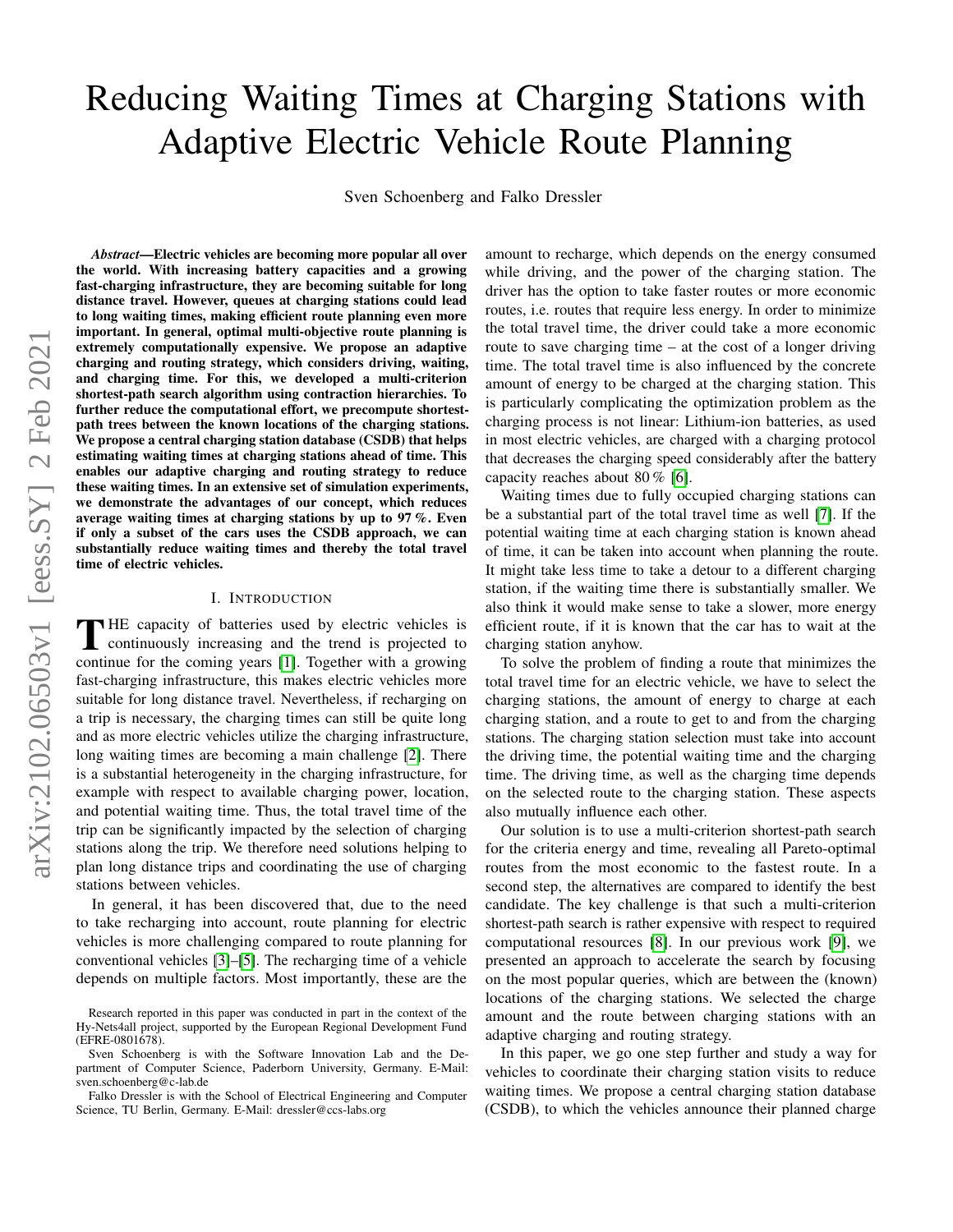# Reducing Waiting Times at Charging Stations with Adaptive Electric Vehicle Route Planning

Sven Schoenberg and Falko Dressler

arXiv:2102.06503v1 [eess.SY] 2 Feb 2021 arXiv:2102.06503v1 [eess.SY] 2 Feb 2021

*Abstract*—Electric vehicles are becoming more popular all over the world. With increasing battery capacities and a growing fast-charging infrastructure, they are becoming suitable for long distance travel. However, queues at charging stations could lead to long waiting times, making efficient route planning even more important. In general, optimal multi-objective route planning is extremely computationally expensive. We propose an adaptive charging and routing strategy, which considers driving, waiting, and charging time. For this, we developed a multi-criterion shortest-path search algorithm using contraction hierarchies. To further reduce the computational effort, we precompute shortestpath trees between the known locations of the charging stations. We propose a central charging station database (CSDB) that helps estimating waiting times at charging stations ahead of time. This enables our adaptive charging and routing strategy to reduce these waiting times. In an extensive set of simulation experiments, we demonstrate the advantages of our concept, which reduces average waiting times at charging stations by up to 97%. Even if only a subset of the cars uses the CSDB approach, we can substantially reduce waiting times and thereby the total travel time of electric vehicles.

## I. INTRODUCTION

THE capacity of batteries used by electric vehicles is<br>continuously increasing and the trend is projected to HE capacity of batteries used by electric vehicles is continue for the coming years [\[1\]](#page-11-0). Together with a growing fast-charging infrastructure, this makes electric vehicles more suitable for long distance travel. Nevertheless, if recharging on a trip is necessary, the charging times can still be quite long and as more electric vehicles utilize the charging infrastructure, long waiting times are becoming a main challenge [\[2\]](#page-11-1). There is a substantial heterogeneity in the charging infrastructure, for example with respect to available charging power, location, and potential waiting time. Thus, the total travel time of the trip can be significantly impacted by the selection of charging stations along the trip. We therefore need solutions helping to plan long distance trips and coordinating the use of charging stations between vehicles.

In general, it has been discovered that, due to the need to take recharging into account, route planning for electric vehicles is more challenging compared to route planning for conventional vehicles [\[3\]](#page-11-2)–[\[5\]](#page-11-3). The recharging time of a vehicle depends on multiple factors. Most importantly, these are the

amount to recharge, which depends on the energy consumed while driving, and the power of the charging station. The driver has the option to take faster routes or more economic routes, i.e. routes that require less energy. In order to minimize the total travel time, the driver could take a more economic route to save charging time – at the cost of a longer driving time. The total travel time is also influenced by the concrete amount of energy to be charged at the charging station. This is particularly complicating the optimization problem as the charging process is not linear: Lithium-ion batteries, as used in most electric vehicles, are charged with a charging protocol that decreases the charging speed considerably after the battery capacity reaches about 80 % [\[6\]](#page-11-4).

Waiting times due to fully occupied charging stations can be a substantial part of the total travel time as well [\[7\]](#page-11-5). If the potential waiting time at each charging station is known ahead of time, it can be taken into account when planning the route. It might take less time to take a detour to a different charging station, if the waiting time there is substantially smaller. We also think it would make sense to take a slower, more energy efficient route, if it is known that the car has to wait at the charging station anyhow.

To solve the problem of finding a route that minimizes the total travel time for an electric vehicle, we have to select the charging stations, the amount of energy to charge at each charging station, and a route to get to and from the charging stations. The charging station selection must take into account the driving time, the potential waiting time and the charging time. The driving time, as well as the charging time depends on the selected route to the charging station. These aspects also mutually influence each other.

Our solution is to use a multi-criterion shortest-path search for the criteria energy and time, revealing all Pareto-optimal routes from the most economic to the fastest route. In a second step, the alternatives are compared to identify the best candidate. The key challenge is that such a multi-criterion shortest-path search is rather expensive with respect to required computational resources [\[8\]](#page-11-6). In our previous work [\[9\]](#page-11-7), we presented an approach to accelerate the search by focusing on the most popular queries, which are between the (known) locations of the charging stations. We selected the charge amount and the route between charging stations with an adaptive charging and routing strategy.

In this paper, we go one step further and study a way for vehicles to coordinate their charging station visits to reduce waiting times. We propose a central charging station database (CSDB), to which the vehicles announce their planned charge

Research reported in this paper was conducted in part in the context of the Hy-Nets4all project, supported by the European Regional Development Fund (EFRE-0801678).

Sven Schoenberg is with the Software Innovation Lab and the Department of Computer Science, Paderborn University, Germany. E-Mail: sven.schoenberg@c-lab.de

Falko Dressler is with the School of Electrical Engineering and Computer Science, TU Berlin, Germany. E-Mail: dressler@ccs-labs.org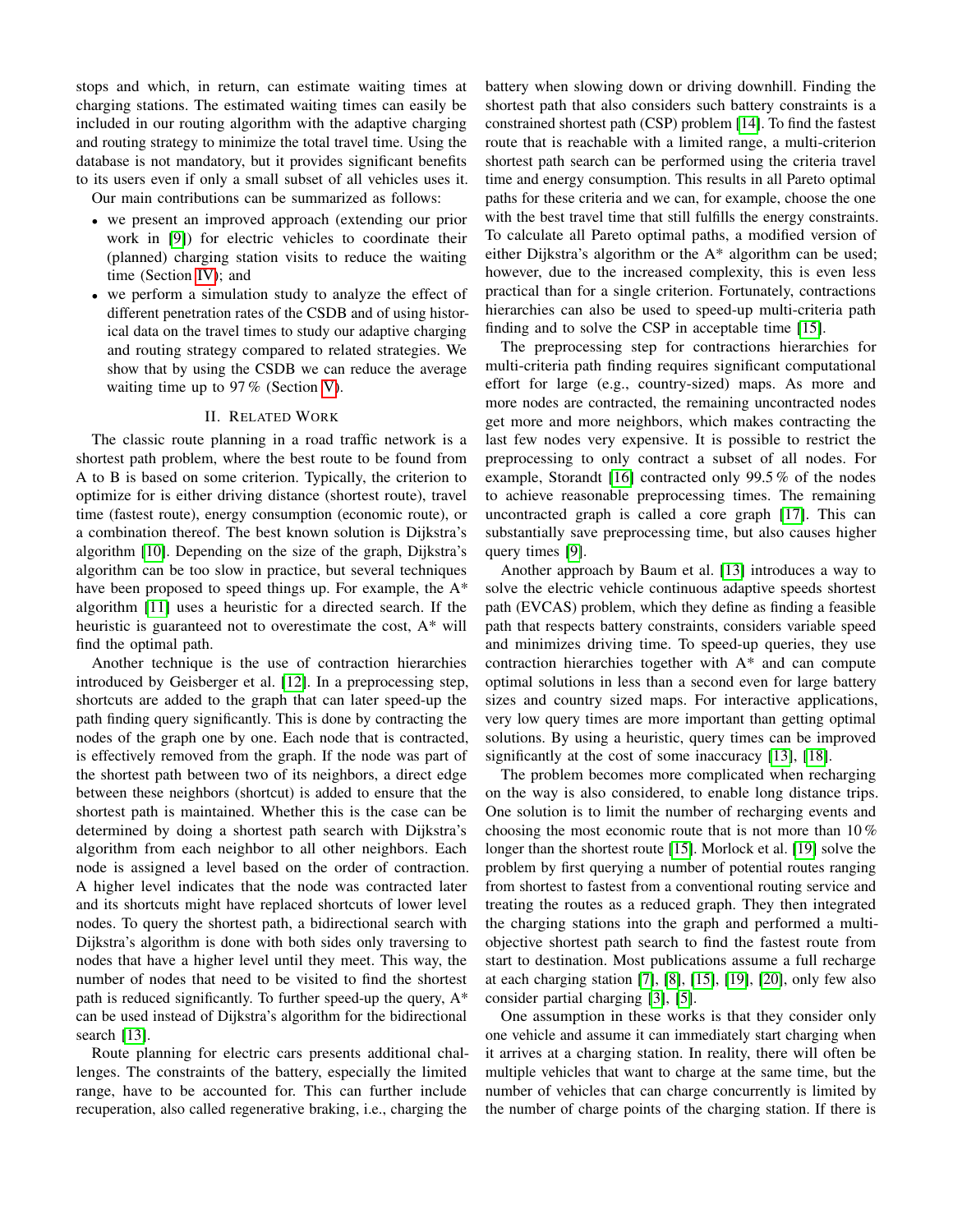stops and which, in return, can estimate waiting times at charging stations. The estimated waiting times can easily be included in our routing algorithm with the adaptive charging and routing strategy to minimize the total travel time. Using the database is not mandatory, but it provides significant benefits to its users even if only a small subset of all vehicles uses it.

Our main contributions can be summarized as follows:

- we present an improved approach (extending our prior work in [\[9\]](#page-11-7)) for electric vehicles to coordinate their (planned) charging station visits to reduce the waiting time (Section [IV\)](#page-4-0); and
- we perform a simulation study to analyze the effect of different penetration rates of the CSDB and of using historical data on the travel times to study our adaptive charging and routing strategy compared to related strategies. We show that by using the CSDB we can reduce the average waiting time up to 97 % (Section [V\)](#page-6-0).

# II. RELATED WORK

The classic route planning in a road traffic network is a shortest path problem, where the best route to be found from A to B is based on some criterion. Typically, the criterion to optimize for is either driving distance (shortest route), travel time (fastest route), energy consumption (economic route), or a combination thereof. The best known solution is Dijkstra's algorithm [\[10\]](#page-11-8). Depending on the size of the graph, Dijkstra's algorithm can be too slow in practice, but several techniques have been proposed to speed things up. For example, the A\* algorithm [\[11\]](#page-11-9) uses a heuristic for a directed search. If the heuristic is guaranteed not to overestimate the cost, A\* will find the optimal path.

Another technique is the use of contraction hierarchies introduced by Geisberger et al. [\[12\]](#page-11-10). In a preprocessing step, shortcuts are added to the graph that can later speed-up the path finding query significantly. This is done by contracting the nodes of the graph one by one. Each node that is contracted, is effectively removed from the graph. If the node was part of the shortest path between two of its neighbors, a direct edge between these neighbors (shortcut) is added to ensure that the shortest path is maintained. Whether this is the case can be determined by doing a shortest path search with Dijkstra's algorithm from each neighbor to all other neighbors. Each node is assigned a level based on the order of contraction. A higher level indicates that the node was contracted later and its shortcuts might have replaced shortcuts of lower level nodes. To query the shortest path, a bidirectional search with Dijkstra's algorithm is done with both sides only traversing to nodes that have a higher level until they meet. This way, the number of nodes that need to be visited to find the shortest path is reduced significantly. To further speed-up the query, A\* can be used instead of Dijkstra's algorithm for the bidirectional search [\[13\]](#page-11-11).

Route planning for electric cars presents additional challenges. The constraints of the battery, especially the limited range, have to be accounted for. This can further include recuperation, also called regenerative braking, i.e., charging the

battery when slowing down or driving downhill. Finding the shortest path that also considers such battery constraints is a constrained shortest path (CSP) problem [\[14\]](#page-11-12). To find the fastest route that is reachable with a limited range, a multi-criterion shortest path search can be performed using the criteria travel time and energy consumption. This results in all Pareto optimal paths for these criteria and we can, for example, choose the one with the best travel time that still fulfills the energy constraints. To calculate all Pareto optimal paths, a modified version of either Dijkstra's algorithm or the A\* algorithm can be used; however, due to the increased complexity, this is even less practical than for a single criterion. Fortunately, contractions hierarchies can also be used to speed-up multi-criteria path finding and to solve the CSP in acceptable time [\[15\]](#page-11-13).

The preprocessing step for contractions hierarchies for multi-criteria path finding requires significant computational effort for large (e.g., country-sized) maps. As more and more nodes are contracted, the remaining uncontracted nodes get more and more neighbors, which makes contracting the last few nodes very expensive. It is possible to restrict the preprocessing to only contract a subset of all nodes. For example, Storandt [\[16\]](#page-11-14) contracted only 99.5 % of the nodes to achieve reasonable preprocessing times. The remaining uncontracted graph is called a core graph [\[17\]](#page-11-15). This can substantially save preprocessing time, but also causes higher query times [\[9\]](#page-11-7).

Another approach by Baum et al. [\[13\]](#page-11-11) introduces a way to solve the electric vehicle continuous adaptive speeds shortest path (EVCAS) problem, which they define as finding a feasible path that respects battery constraints, considers variable speed and minimizes driving time. To speed-up queries, they use contraction hierarchies together with A\* and can compute optimal solutions in less than a second even for large battery sizes and country sized maps. For interactive applications, very low query times are more important than getting optimal solutions. By using a heuristic, query times can be improved significantly at the cost of some inaccuracy [\[13\]](#page-11-11), [\[18\]](#page-11-16).

The problem becomes more complicated when recharging on the way is also considered, to enable long distance trips. One solution is to limit the number of recharging events and choosing the most economic route that is not more than 10 % longer than the shortest route [\[15\]](#page-11-13). Morlock et al. [\[19\]](#page-11-17) solve the problem by first querying a number of potential routes ranging from shortest to fastest from a conventional routing service and treating the routes as a reduced graph. They then integrated the charging stations into the graph and performed a multiobjective shortest path search to find the fastest route from start to destination. Most publications assume a full recharge at each charging station [\[7\]](#page-11-5), [\[8\]](#page-11-6), [\[15\]](#page-11-13), [\[19\]](#page-11-17), [\[20\]](#page-11-18), only few also consider partial charging [\[3\]](#page-11-2), [\[5\]](#page-11-3).

One assumption in these works is that they consider only one vehicle and assume it can immediately start charging when it arrives at a charging station. In reality, there will often be multiple vehicles that want to charge at the same time, but the number of vehicles that can charge concurrently is limited by the number of charge points of the charging station. If there is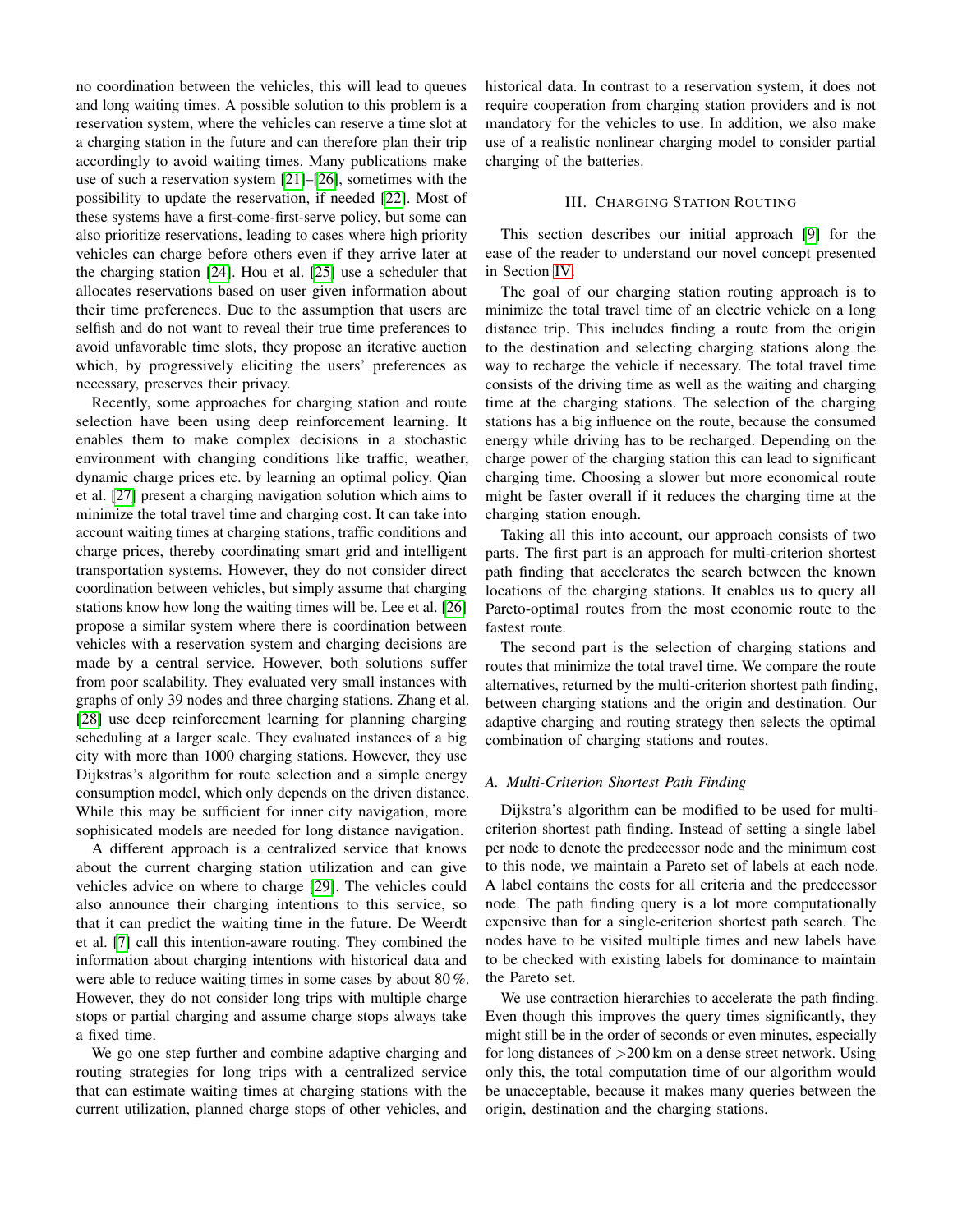no coordination between the vehicles, this will lead to queues and long waiting times. A possible solution to this problem is a reservation system, where the vehicles can reserve a time slot at a charging station in the future and can therefore plan their trip accordingly to avoid waiting times. Many publications make use of such a reservation system [\[21\]](#page-11-19)–[\[26\]](#page-11-20), sometimes with the possibility to update the reservation, if needed [\[22\]](#page-11-21). Most of these systems have a first-come-first-serve policy, but some can also prioritize reservations, leading to cases where high priority vehicles can charge before others even if they arrive later at the charging station [\[24\]](#page-11-22). Hou et al. [\[25\]](#page-11-23) use a scheduler that allocates reservations based on user given information about their time preferences. Due to the assumption that users are selfish and do not want to reveal their true time preferences to avoid unfavorable time slots, they propose an iterative auction which, by progressively eliciting the users' preferences as necessary, preserves their privacy.

Recently, some approaches for charging station and route selection have been using deep reinforcement learning. It enables them to make complex decisions in a stochastic environment with changing conditions like traffic, weather, dynamic charge prices etc. by learning an optimal policy. Qian et al. [\[27\]](#page-11-24) present a charging navigation solution which aims to minimize the total travel time and charging cost. It can take into account waiting times at charging stations, traffic conditions and charge prices, thereby coordinating smart grid and intelligent transportation systems. However, they do not consider direct coordination between vehicles, but simply assume that charging stations know how long the waiting times will be. Lee et al. [\[26\]](#page-11-20) propose a similar system where there is coordination between vehicles with a reservation system and charging decisions are made by a central service. However, both solutions suffer from poor scalability. They evaluated very small instances with graphs of only 39 nodes and three charging stations. Zhang et al. [\[28\]](#page-11-25) use deep reinforcement learning for planning charging scheduling at a larger scale. They evaluated instances of a big city with more than 1000 charging stations. However, they use Dijkstras's algorithm for route selection and a simple energy consumption model, which only depends on the driven distance. While this may be sufficient for inner city navigation, more sophisicated models are needed for long distance navigation.

A different approach is a centralized service that knows about the current charging station utilization and can give vehicles advice on where to charge [\[29\]](#page-11-26). The vehicles could also announce their charging intentions to this service, so that it can predict the waiting time in the future. De Weerdt et al. [\[7\]](#page-11-5) call this intention-aware routing. They combined the information about charging intentions with historical data and were able to reduce waiting times in some cases by about 80 %. However, they do not consider long trips with multiple charge stops or partial charging and assume charge stops always take a fixed time.

We go one step further and combine adaptive charging and routing strategies for long trips with a centralized service that can estimate waiting times at charging stations with the current utilization, planned charge stops of other vehicles, and

historical data. In contrast to a reservation system, it does not require cooperation from charging station providers and is not mandatory for the vehicles to use. In addition, we also make use of a realistic nonlinear charging model to consider partial charging of the batteries.

## III. CHARGING STATION ROUTING

This section describes our initial approach [\[9\]](#page-11-7) for the ease of the reader to understand our novel concept presented in Section [IV.](#page-4-0)

The goal of our charging station routing approach is to minimize the total travel time of an electric vehicle on a long distance trip. This includes finding a route from the origin to the destination and selecting charging stations along the way to recharge the vehicle if necessary. The total travel time consists of the driving time as well as the waiting and charging time at the charging stations. The selection of the charging stations has a big influence on the route, because the consumed energy while driving has to be recharged. Depending on the charge power of the charging station this can lead to significant charging time. Choosing a slower but more economical route might be faster overall if it reduces the charging time at the charging station enough.

Taking all this into account, our approach consists of two parts. The first part is an approach for multi-criterion shortest path finding that accelerates the search between the known locations of the charging stations. It enables us to query all Pareto-optimal routes from the most economic route to the fastest route.

The second part is the selection of charging stations and routes that minimize the total travel time. We compare the route alternatives, returned by the multi-criterion shortest path finding, between charging stations and the origin and destination. Our adaptive charging and routing strategy then selects the optimal combination of charging stations and routes.

#### *A. Multi-Criterion Shortest Path Finding*

Dijkstra's algorithm can be modified to be used for multicriterion shortest path finding. Instead of setting a single label per node to denote the predecessor node and the minimum cost to this node, we maintain a Pareto set of labels at each node. A label contains the costs for all criteria and the predecessor node. The path finding query is a lot more computationally expensive than for a single-criterion shortest path search. The nodes have to be visited multiple times and new labels have to be checked with existing labels for dominance to maintain the Pareto set.

We use contraction hierarchies to accelerate the path finding. Even though this improves the query times significantly, they might still be in the order of seconds or even minutes, especially for long distances of >200 km on a dense street network. Using only this, the total computation time of our algorithm would be unacceptable, because it makes many queries between the origin, destination and the charging stations.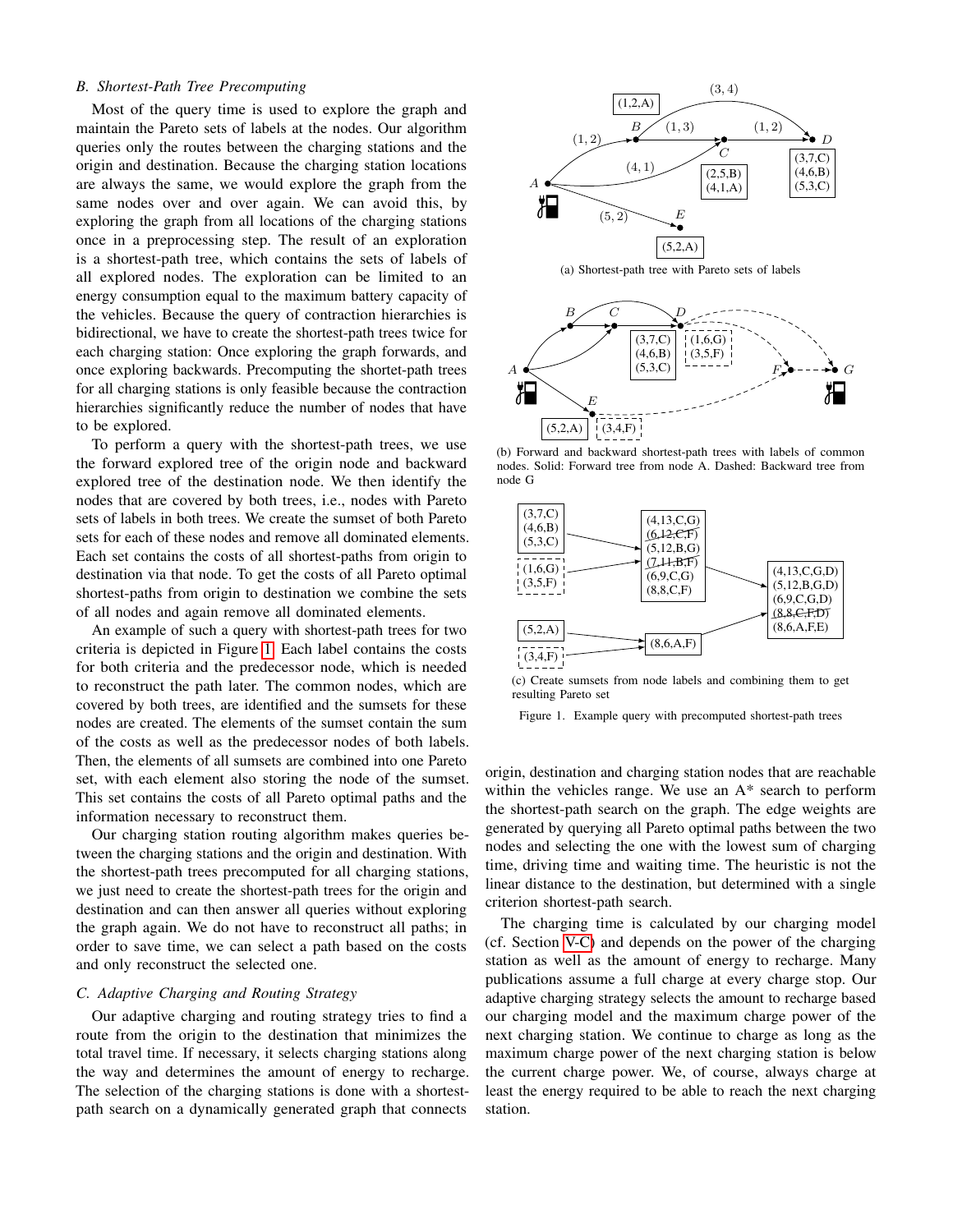# *B. Shortest-Path Tree Precomputing*

Most of the query time is used to explore the graph and maintain the Pareto sets of labels at the nodes. Our algorithm queries only the routes between the charging stations and the origin and destination. Because the charging station locations are always the same, we would explore the graph from the same nodes over and over again. We can avoid this, by exploring the graph from all locations of the charging stations once in a preprocessing step. The result of an exploration is a shortest-path tree, which contains the sets of labels of all explored nodes. The exploration can be limited to an energy consumption equal to the maximum battery capacity of the vehicles. Because the query of contraction hierarchies is bidirectional, we have to create the shortest-path trees twice for each charging station: Once exploring the graph forwards, and once exploring backwards. Precomputing the shortet-path trees for all charging stations is only feasible because the contraction hierarchies significantly reduce the number of nodes that have to be explored.

To perform a query with the shortest-path trees, we use the forward explored tree of the origin node and backward explored tree of the destination node. We then identify the nodes that are covered by both trees, i.e., nodes with Pareto sets of labels in both trees. We create the sumset of both Pareto sets for each of these nodes and remove all dominated elements. Each set contains the costs of all shortest-paths from origin to destination via that node. To get the costs of all Pareto optimal shortest-paths from origin to destination we combine the sets of all nodes and again remove all dominated elements.

An example of such a query with shortest-path trees for two criteria is depicted in Figure [1.](#page-3-0) Each label contains the costs for both criteria and the predecessor node, which is needed to reconstruct the path later. The common nodes, which are covered by both trees, are identified and the sumsets for these nodes are created. The elements of the sumset contain the sum of the costs as well as the predecessor nodes of both labels. Then, the elements of all sumsets are combined into one Pareto set, with each element also storing the node of the sumset. This set contains the costs of all Pareto optimal paths and the information necessary to reconstruct them.

Our charging station routing algorithm makes queries between the charging stations and the origin and destination. With the shortest-path trees precomputed for all charging stations, we just need to create the shortest-path trees for the origin and destination and can then answer all queries without exploring the graph again. We do not have to reconstruct all paths; in order to save time, we can select a path based on the costs and only reconstruct the selected one.

# *C. Adaptive Charging and Routing Strategy*

Our adaptive charging and routing strategy tries to find a route from the origin to the destination that minimizes the total travel time. If necessary, it selects charging stations along the way and determines the amount of energy to recharge. The selection of the charging stations is done with a shortestpath search on a dynamically generated graph that connects



(a) Shortest-path tree with Pareto sets of labels



(b) Forward and backward shortest-path trees with labels of common nodes. Solid: Forward tree from node A. Dashed: Backward tree from node G



(c) Create sumsets from node labels and combining them to get resulting Pareto set

<span id="page-3-0"></span>Figure 1. Example query with precomputed shortest-path trees

origin, destination and charging station nodes that are reachable within the vehicles range. We use an A\* search to perform the shortest-path search on the graph. The edge weights are generated by querying all Pareto optimal paths between the two nodes and selecting the one with the lowest sum of charging time, driving time and waiting time. The heuristic is not the linear distance to the destination, but determined with a single criterion shortest-path search.

The charging time is calculated by our charging model (cf. Section [V-C\)](#page-7-0) and depends on the power of the charging station as well as the amount of energy to recharge. Many publications assume a full charge at every charge stop. Our adaptive charging strategy selects the amount to recharge based our charging model and the maximum charge power of the next charging station. We continue to charge as long as the maximum charge power of the next charging station is below the current charge power. We, of course, always charge at least the energy required to be able to reach the next charging station.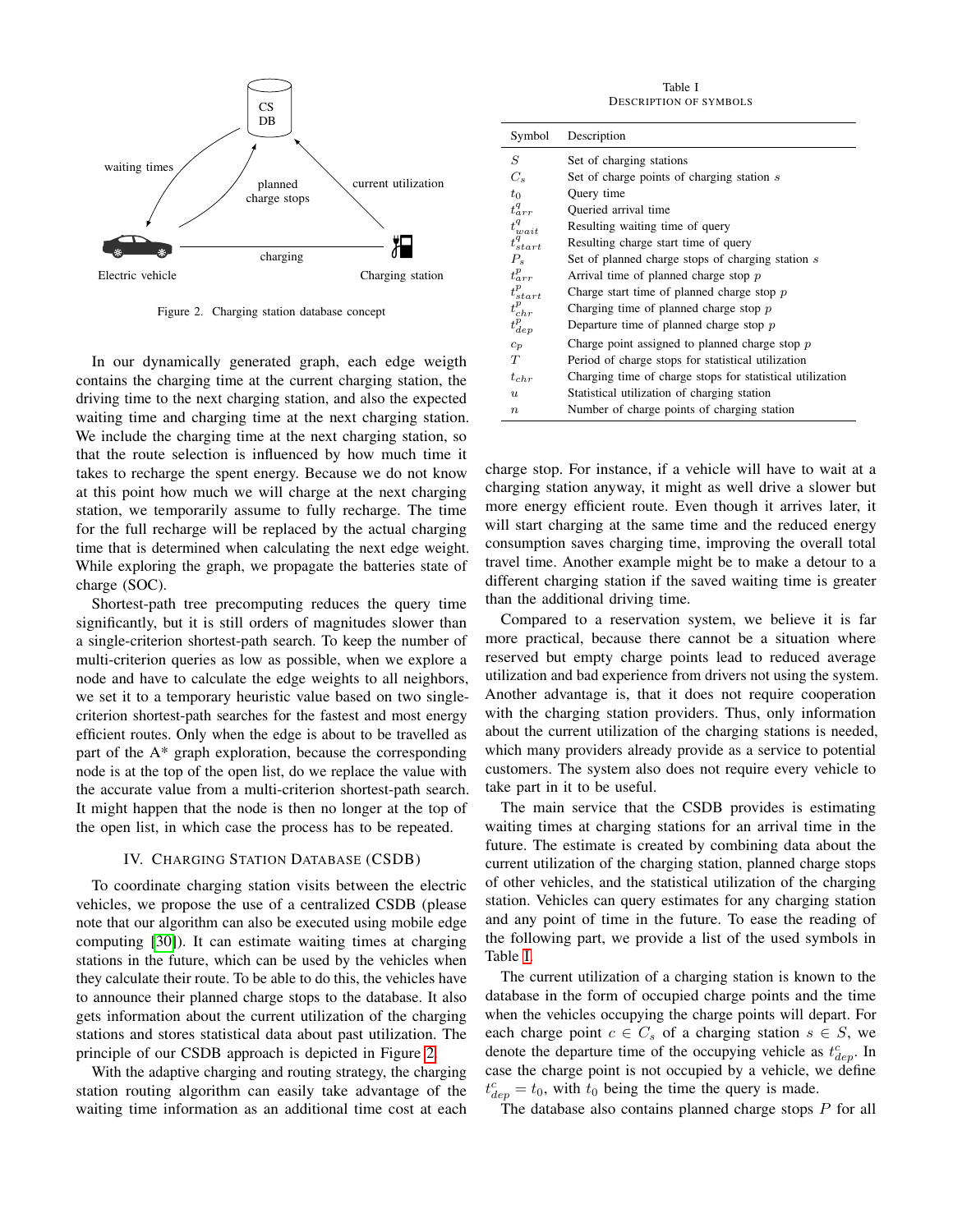

<span id="page-4-1"></span>Figure 2. Charging station database concept

In our dynamically generated graph, each edge weigth contains the charging time at the current charging station, the driving time to the next charging station, and also the expected waiting time and charging time at the next charging station. We include the charging time at the next charging station, so that the route selection is influenced by how much time it takes to recharge the spent energy. Because we do not know at this point how much we will charge at the next charging station, we temporarily assume to fully recharge. The time for the full recharge will be replaced by the actual charging time that is determined when calculating the next edge weight. While exploring the graph, we propagate the batteries state of charge (SOC).

Shortest-path tree precomputing reduces the query time significantly, but it is still orders of magnitudes slower than a single-criterion shortest-path search. To keep the number of multi-criterion queries as low as possible, when we explore a node and have to calculate the edge weights to all neighbors, we set it to a temporary heuristic value based on two singlecriterion shortest-path searches for the fastest and most energy efficient routes. Only when the edge is about to be travelled as part of the A\* graph exploration, because the corresponding node is at the top of the open list, do we replace the value with the accurate value from a multi-criterion shortest-path search. It might happen that the node is then no longer at the top of the open list, in which case the process has to be repeated.

#### IV. CHARGING STATION DATABASE (CSDB)

<span id="page-4-0"></span>To coordinate charging station visits between the electric vehicles, we propose the use of a centralized CSDB (please note that our algorithm can also be executed using mobile edge computing [\[30\]](#page-11-27)). It can estimate waiting times at charging stations in the future, which can be used by the vehicles when they calculate their route. To be able to do this, the vehicles have to announce their planned charge stops to the database. It also gets information about the current utilization of the charging stations and stores statistical data about past utilization. The principle of our CSDB approach is depicted in Figure [2.](#page-4-1)

With the adaptive charging and routing strategy, the charging station routing algorithm can easily take advantage of the waiting time information as an additional time cost at each

Table I DESCRIPTION OF SYMBOLS

<span id="page-4-2"></span>

| Symbol                                                               | Description                                               |
|----------------------------------------------------------------------|-----------------------------------------------------------|
| S                                                                    | Set of charging stations                                  |
| $C_{s}$                                                              | Set of charge points of charging station s                |
| $t_0$                                                                | Query time                                                |
| $t^q_{arr}$                                                          | Oueried arrival time                                      |
| $t_{wait}^q \\ t_{start}^q$                                          | Resulting waiting time of query                           |
|                                                                      | Resulting charge start time of query                      |
| $P_{s}$                                                              | Set of planned charge stops of charging station s         |
| $t^{p}_{arr}$                                                        | Arrival time of planned charge stop $p$                   |
|                                                                      | Charge start time of planned charge stop $p$              |
|                                                                      | Charging time of planned charge stop $p$                  |
| $\begin{array}{l} t^p_{start} \\ t^p_{chr} \\ t^p_{dep} \end{array}$ | Departure time of planned charge stop $p$                 |
| $c_p$                                                                | Charge point assigned to planned charge stop $p$          |
| T                                                                    | Period of charge stops for statistical utilization        |
| $t_{chr}$                                                            | Charging time of charge stops for statistical utilization |
| $\boldsymbol{u}$                                                     | Statistical utilization of charging station               |
| $\boldsymbol{n}$                                                     | Number of charge points of charging station               |

charge stop. For instance, if a vehicle will have to wait at a charging station anyway, it might as well drive a slower but more energy efficient route. Even though it arrives later, it will start charging at the same time and the reduced energy consumption saves charging time, improving the overall total travel time. Another example might be to make a detour to a different charging station if the saved waiting time is greater than the additional driving time.

Compared to a reservation system, we believe it is far more practical, because there cannot be a situation where reserved but empty charge points lead to reduced average utilization and bad experience from drivers not using the system. Another advantage is, that it does not require cooperation with the charging station providers. Thus, only information about the current utilization of the charging stations is needed, which many providers already provide as a service to potential customers. The system also does not require every vehicle to take part in it to be useful.

The main service that the CSDB provides is estimating waiting times at charging stations for an arrival time in the future. The estimate is created by combining data about the current utilization of the charging station, planned charge stops of other vehicles, and the statistical utilization of the charging station. Vehicles can query estimates for any charging station and any point of time in the future. To ease the reading of the following part, we provide a list of the used symbols in Table [I.](#page-4-2)

The current utilization of a charging station is known to the database in the form of occupied charge points and the time when the vehicles occupying the charge points will depart. For each charge point  $c \in C_s$  of a charging station  $s \in S$ , we denote the departure time of the occupying vehicle as  $t_{dep}^c$ . In case the charge point is not occupied by a vehicle, we define  $t_{dep}^c = t_0$ , with  $t_0$  being the time the query is made.

The database also contains planned charge stops  $P$  for all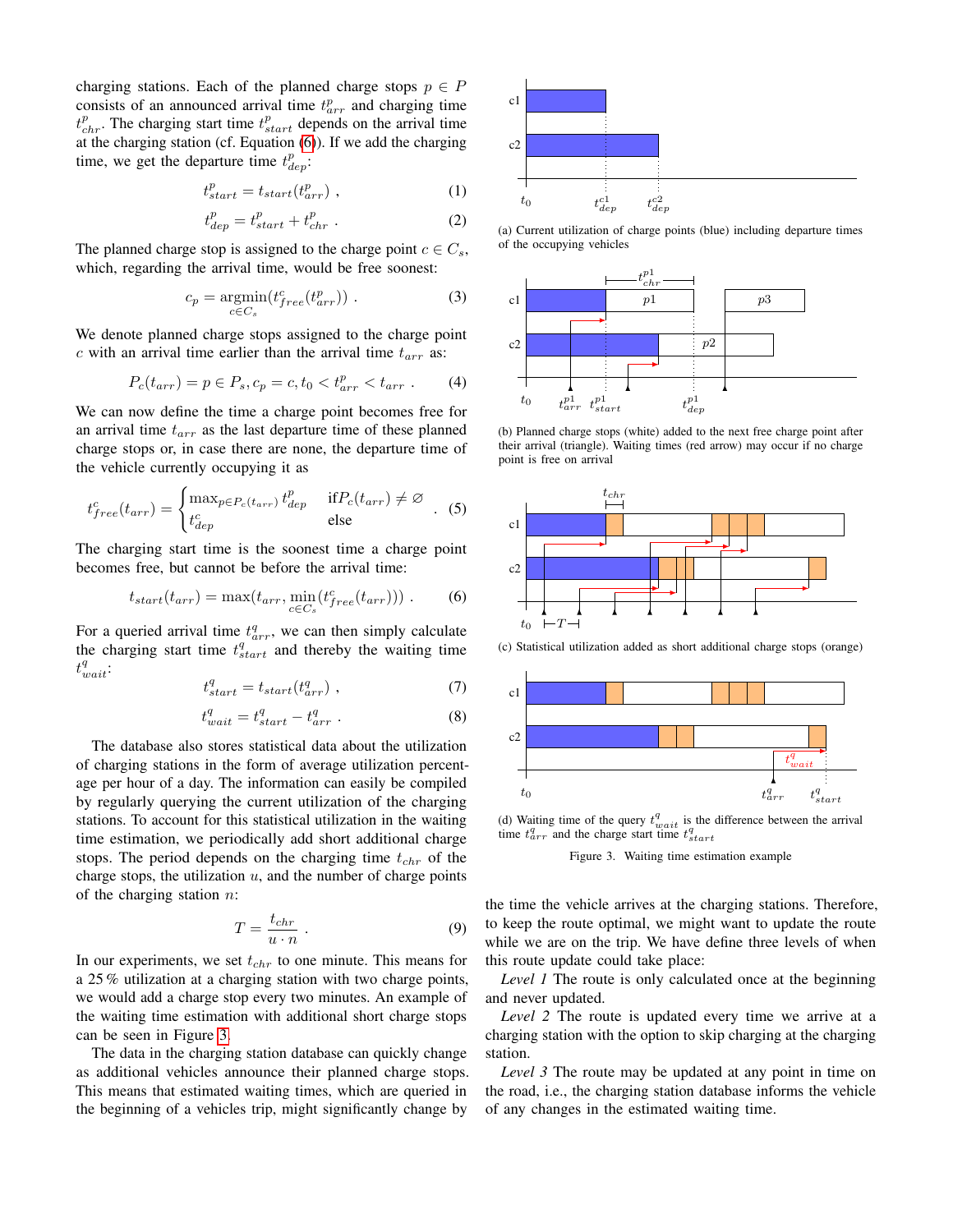charging stations. Each of the planned charge stops  $p \in P$ consists of an announced arrival time  $t_{arr}^p$  and charging time  $t_{chr}^p$ . The charging start time  $t_{start}^p$  depends on the arrival time at the charging station (cf. Equation [\(6\)](#page-5-0)). If we add the charging time, we get the departure time  $t_{dep}^p$ :

$$
t_{start}^p = t_{start}(t_{arr}^p) \t{,} \t(1)
$$

$$
t_{dep}^p = t_{start}^p + t_{chr}^p \tag{2}
$$

The planned charge stop is assigned to the charge point  $c \in C_s$ , which, regarding the arrival time, would be free soonest:

$$
c_p = \underset{c \in C_s}{\text{argmin}}(t_{free}^c(t_{arr}^p))\ . \tag{3}
$$

We denote planned charge stops assigned to the charge point c with an arrival time earlier than the arrival time  $t_{arr}$  as:

$$
P_c(t_{arr}) = p \in P_s, c_p = c, t_0 < t_{arr}^p < t_{arr} \tag{4}
$$

We can now define the time a charge point becomes free for an arrival time  $t_{arr}$  as the last departure time of these planned charge stops or, in case there are none, the departure time of the vehicle currently occupying it as

$$
t_{free}^{c}(t_{arr}) = \begin{cases} \max_{p \in P_c(t_{arr})} t_{dep}^p & \text{if } P_c(t_{arr}) \neq \varnothing \\ t_{dep}^c & \text{else} \end{cases} (5)
$$

The charging start time is the soonest time a charge point becomes free, but cannot be before the arrival time:

<span id="page-5-0"></span>
$$
t_{start}(t_{arr}) = \max(t_{arr}, \min_{c \in C_s} (t_{free}(t_{arr})))
$$
 (6)

For a queried arrival time  $t^{q}_{arr}$ , we can then simply calculate the charging start time  $t_{start}^q$  and thereby the waiting time  $t^q_{wait}$ :

$$
t_{start}^q = t_{start}(t_{arr}^q) \t{,} \t(7)
$$

$$
t_{wait}^q = t_{start}^q - t_{arr}^q \t\t(8)
$$

The database also stores statistical data about the utilization of charging stations in the form of average utilization percentage per hour of a day. The information can easily be compiled by regularly querying the current utilization of the charging stations. To account for this statistical utilization in the waiting time estimation, we periodically add short additional charge stops. The period depends on the charging time  $t_{chr}$  of the charge stops, the utilization  $u$ , and the number of charge points of the charging station  $n$ :

$$
T = \frac{t_{chr}}{u \cdot n} \tag{9}
$$

In our experiments, we set  $t_{chr}$  to one minute. This means for a 25 % utilization at a charging station with two charge points, we would add a charge stop every two minutes. An example of the waiting time estimation with additional short charge stops can be seen in Figure [3.](#page-5-1)

The data in the charging station database can quickly change as additional vehicles announce their planned charge stops. This means that estimated waiting times, which are queried in the beginning of a vehicles trip, might significantly change by



(a) Current utilization of charge points (blue) including departure times of the occupying vehicles



(b) Planned charge stops (white) added to the next free charge point after their arrival (triangle). Waiting times (red arrow) may occur if no charge point is free on arrival



(c) Statistical utilization added as short additional charge stops (orange)



(d) Waiting time of the query  $t_n^q$  $_{ait}$  is the difference between the arrival time  $t^q_{arr}$  and the charge start time  $t^q_{start}$ 

<span id="page-5-1"></span>Figure 3. Waiting time estimation example

the time the vehicle arrives at the charging stations. Therefore, to keep the route optimal, we might want to update the route while we are on the trip. We have define three levels of when this route update could take place:

*Level 1* The route is only calculated once at the beginning and never updated.

*Level 2* The route is updated every time we arrive at a charging station with the option to skip charging at the charging station.

*Level 3* The route may be updated at any point in time on the road, i.e., the charging station database informs the vehicle of any changes in the estimated waiting time.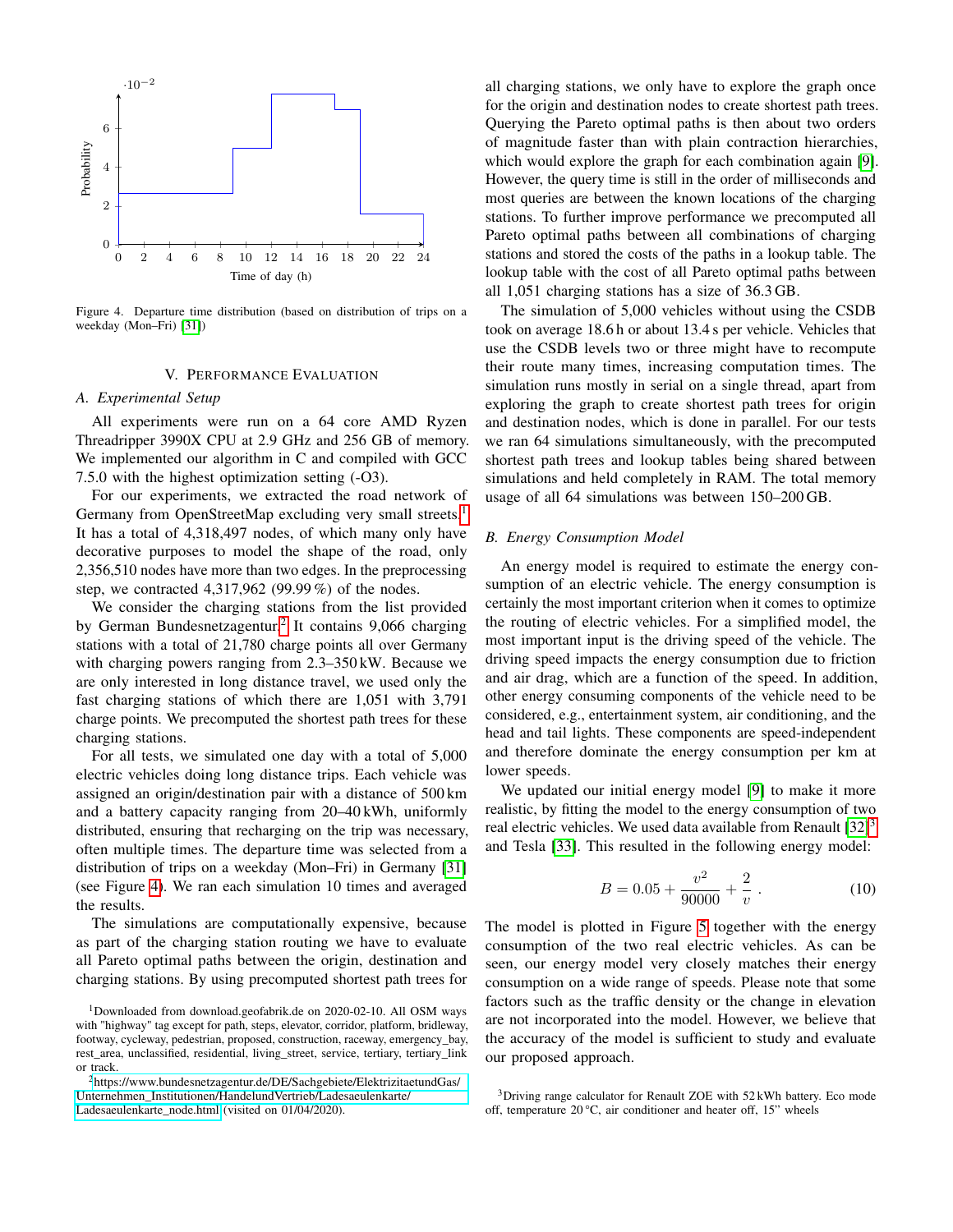

<span id="page-6-3"></span>Figure 4. Departure time distribution (based on distribution of trips on a weekday (Mon–Fri) [\[31\]](#page-11-28))

## V. PERFORMANCE EVALUATION

#### <span id="page-6-0"></span>*A. Experimental Setup*

All experiments were run on a 64 core AMD Ryzen Threadripper 3990X CPU at 2.9 GHz and 256 GB of memory. We implemented our algorithm in C and compiled with GCC 7.5.0 with the highest optimization setting (-O3).

For our experiments, we extracted the road network of Germany from OpenStreetMap excluding very small streets.<sup>[1](#page-6-1)</sup> It has a total of 4,318,497 nodes, of which many only have decorative purposes to model the shape of the road, only 2,356,510 nodes have more than two edges. In the preprocessing step, we contracted 4,317,962 (99.99 %) of the nodes.

We consider the charging stations from the list provided by German Bundesnetzagentur.<sup>[2](#page-6-2)</sup> It contains 9,066 charging stations with a total of 21,780 charge points all over Germany with charging powers ranging from 2.3–350 kW. Because we are only interested in long distance travel, we used only the fast charging stations of which there are 1,051 with 3,791 charge points. We precomputed the shortest path trees for these charging stations.

For all tests, we simulated one day with a total of 5,000 electric vehicles doing long distance trips. Each vehicle was assigned an origin/destination pair with a distance of 500 km and a battery capacity ranging from 20–40 kWh, uniformly distributed, ensuring that recharging on the trip was necessary, often multiple times. The departure time was selected from a distribution of trips on a weekday (Mon–Fri) in Germany [\[31\]](#page-11-28) (see Figure [4\)](#page-6-3). We ran each simulation 10 times and averaged the results.

The simulations are computationally expensive, because as part of the charging station routing we have to evaluate all Pareto optimal paths between the origin, destination and charging stations. By using precomputed shortest path trees for all charging stations, we only have to explore the graph once for the origin and destination nodes to create shortest path trees. Querying the Pareto optimal paths is then about two orders of magnitude faster than with plain contraction hierarchies, which would explore the graph for each combination again [\[9\]](#page-11-7). However, the query time is still in the order of milliseconds and most queries are between the known locations of the charging stations. To further improve performance we precomputed all Pareto optimal paths between all combinations of charging stations and stored the costs of the paths in a lookup table. The lookup table with the cost of all Pareto optimal paths between all 1,051 charging stations has a size of 36.3 GB.

The simulation of 5,000 vehicles without using the CSDB took on average 18.6 h or about 13.4 s per vehicle. Vehicles that use the CSDB levels two or three might have to recompute their route many times, increasing computation times. The simulation runs mostly in serial on a single thread, apart from exploring the graph to create shortest path trees for origin and destination nodes, which is done in parallel. For our tests we ran 64 simulations simultaneously, with the precomputed shortest path trees and lookup tables being shared between simulations and held completely in RAM. The total memory usage of all 64 simulations was between 150–200 GB.

### *B. Energy Consumption Model*

An energy model is required to estimate the energy consumption of an electric vehicle. The energy consumption is certainly the most important criterion when it comes to optimize the routing of electric vehicles. For a simplified model, the most important input is the driving speed of the vehicle. The driving speed impacts the energy consumption due to friction and air drag, which are a function of the speed. In addition, other energy consuming components of the vehicle need to be considered, e.g., entertainment system, air conditioning, and the head and tail lights. These components are speed-independent and therefore dominate the energy consumption per km at lower speeds.

We updated our initial energy model [\[9\]](#page-11-7) to make it more realistic, by fitting the model to the energy consumption of two real electric vehicles. We used data available from Renault  $[32]^3$  $[32]^3$  $[32]^3$ and Tesla [\[33\]](#page-11-30). This resulted in the following energy model:

$$
B = 0.05 + \frac{v^2}{90000} + \frac{2}{v} . \tag{10}
$$

The model is plotted in Figure [5](#page-7-1) together with the energy consumption of the two real electric vehicles. As can be seen, our energy model very closely matches their energy consumption on a wide range of speeds. Please note that some factors such as the traffic density or the change in elevation are not incorporated into the model. However, we believe that the accuracy of the model is sufficient to study and evaluate our proposed approach.

<span id="page-6-1"></span><sup>&</sup>lt;sup>1</sup>Downloaded from download.geofabrik.de on 2020-02-10. All OSM ways with "highway" tag except for path, steps, elevator, corridor, platform, bridleway, footway, cycleway, pedestrian, proposed, construction, raceway, emergency\_bay, rest\_area, unclassified, residential, living\_street, service, tertiary, tertiary\_link or track.

<span id="page-6-2"></span><sup>2</sup>[https://www.bundesnetzagentur.de/DE/Sachgebiete/ElektrizitaetundGas/](https://www.bundesnetzagentur.de/DE/Sachgebiete/ElektrizitaetundGas/Unternehmen_Institutionen/HandelundVertrieb/Ladesaeulenkarte/Ladesaeulenkarte_node.html) [Unternehmen\\_Institutionen/HandelundVertrieb/Ladesaeulenkarte/](https://www.bundesnetzagentur.de/DE/Sachgebiete/ElektrizitaetundGas/Unternehmen_Institutionen/HandelundVertrieb/Ladesaeulenkarte/Ladesaeulenkarte_node.html) [Ladesaeulenkarte\\_node.html](https://www.bundesnetzagentur.de/DE/Sachgebiete/ElektrizitaetundGas/Unternehmen_Institutionen/HandelundVertrieb/Ladesaeulenkarte/Ladesaeulenkarte_node.html) (visited on 01/04/2020).

<span id="page-6-4"></span><sup>&</sup>lt;sup>3</sup>Driving range calculator for Renault ZOE with 52 kWh battery. Eco mode off, temperature 20 °C, air conditioner and heater off, 15" wheels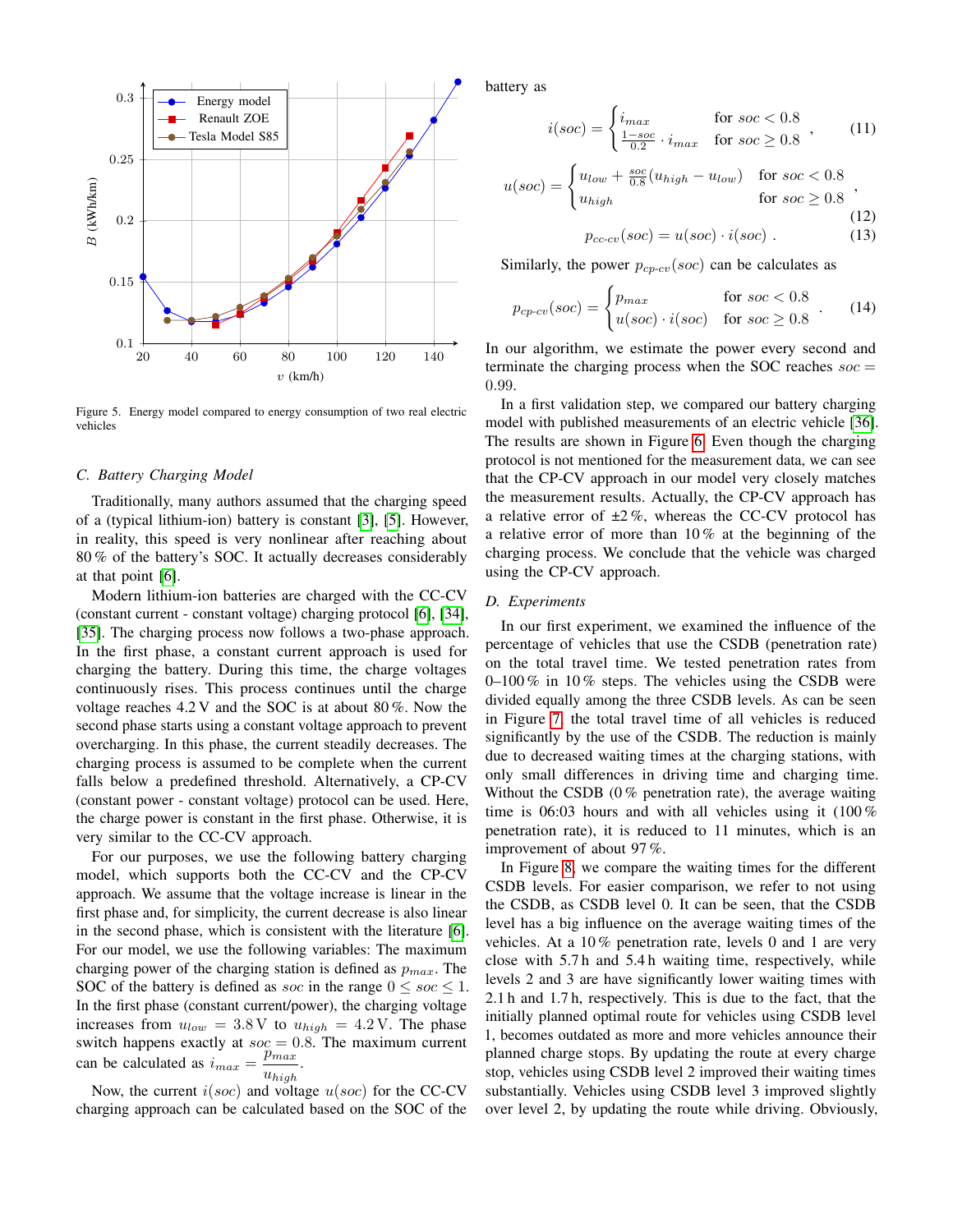

<span id="page-7-1"></span>Figure 5. Energy model compared to energy consumption of two real electric vehicles

#### <span id="page-7-0"></span>*C. Battery Charging Model*

Traditionally, many authors assumed that the charging speed of a (typical lithium-ion) battery is constant [\[3\]](#page-11-2), [\[5\]](#page-11-3). However, in reality, this speed is very nonlinear after reaching about 80 % of the battery's SOC. It actually decreases considerably at that point [\[6\]](#page-11-4).

Modern lithium-ion batteries are charged with the CC-CV (constant current - constant voltage) charging protocol [\[6\]](#page-11-4), [\[34\]](#page-11-31), [\[35\]](#page-11-32). The charging process now follows a two-phase approach. In the first phase, a constant current approach is used for charging the battery. During this time, the charge voltages continuously rises. This process continues until the charge voltage reaches 4.2 V and the SOC is at about 80 %. Now the second phase starts using a constant voltage approach to prevent overcharging. In this phase, the current steadily decreases. The charging process is assumed to be complete when the current falls below a predefined threshold. Alternatively, a CP-CV (constant power - constant voltage) protocol can be used. Here, the charge power is constant in the first phase. Otherwise, it is very similar to the CC-CV approach.

For our purposes, we use the following battery charging model, which supports both the CC-CV and the CP-CV approach. We assume that the voltage increase is linear in the first phase and, for simplicity, the current decrease is also linear in the second phase, which is consistent with the literature [\[6\]](#page-11-4). For our model, we use the following variables: The maximum charging power of the charging station is defined as  $p_{max}$ . The SOC of the battery is defined as soc in the range  $0 \leq soc \leq 1$ . In the first phase (constant current/power), the charging voltage increases from  $u_{low} = 3.8 \text{ V}$  to  $u_{high} = 4.2 \text{ V}$ . The phase switch happens exactly at  $\sec = 0.8$ . The maximum current can be calculated as  $i_{max} = \frac{p_{max}}{p_{max}}$ .  $u_{high}$ 

Now, the current  $i(soc)$  and voltage  $u(soc)$  for the CC-CV charging approach can be calculated based on the SOC of the battery as

$$
i(soc) = \begin{cases} i_{max} & \text{for } soc < 0.8\\ \frac{1 - soc}{0.2} \cdot i_{max} & \text{for } soc \ge 0.8 \end{cases}
$$
 (11)

$$
u(soc) = \begin{cases} u_{low} + \frac{soc}{0.8}(u_{high} - u_{low}) & \text{for } soc < 0.8\\ u_{high} & \text{for } soc \ge 0.8 \end{cases}
$$
 (12)

$$
p_{cc-cv}(soc) = u(soc) \cdot i(soc) . \tag{13}
$$

Similarly, the power  $p_{cp-cv}(soc)$  can be calculates as

$$
p_{cp-cv}(soc) = \begin{cases} p_{max} & \text{for } soc < 0.8\\ u(soc) \cdot i(soc) & \text{for } soc \ge 0.8 \end{cases} . \tag{14}
$$

In our algorithm, we estimate the power every second and terminate the charging process when the SOC reaches  $\rm soc =$ 0.99.

In a first validation step, we compared our battery charging model with published measurements of an electric vehicle [\[36\]](#page-11-33). The results are shown in Figure [6.](#page-8-0) Even though the charging protocol is not mentioned for the measurement data, we can see that the CP-CV approach in our model very closely matches the measurement results. Actually, the CP-CV approach has a relative error of  $\pm 2\%$ , whereas the CC-CV protocol has a relative error of more than 10 % at the beginning of the charging process. We conclude that the vehicle was charged using the CP-CV approach.

# *D. Experiments*

In our first experiment, we examined the influence of the percentage of vehicles that use the CSDB (penetration rate) on the total travel time. We tested penetration rates from  $0-100\%$  in 10% steps. The vehicles using the CSDB were divided equally among the three CSDB levels. As can be seen in Figure [7,](#page-8-1) the total travel time of all vehicles is reduced significantly by the use of the CSDB. The reduction is mainly due to decreased waiting times at the charging stations, with only small differences in driving time and charging time. Without the CSDB  $(0\%$  penetration rate), the average waiting time is 06:03 hours and with all vehicles using it (100 % penetration rate), it is reduced to 11 minutes, which is an improvement of about 97 %.

In Figure [8,](#page-8-2) we compare the waiting times for the different CSDB levels. For easier comparison, we refer to not using the CSDB, as CSDB level 0. It can be seen, that the CSDB level has a big influence on the average waiting times of the vehicles. At a 10 % penetration rate, levels 0 and 1 are very close with 5.7 h and 5.4 h waiting time, respectively, while levels 2 and 3 are have significantly lower waiting times with 2.1 h and 1.7 h, respectively. This is due to the fact, that the initially planned optimal route for vehicles using CSDB level 1, becomes outdated as more and more vehicles announce their planned charge stops. By updating the route at every charge stop, vehicles using CSDB level 2 improved their waiting times substantially. Vehicles using CSDB level 3 improved slightly over level 2, by updating the route while driving. Obviously,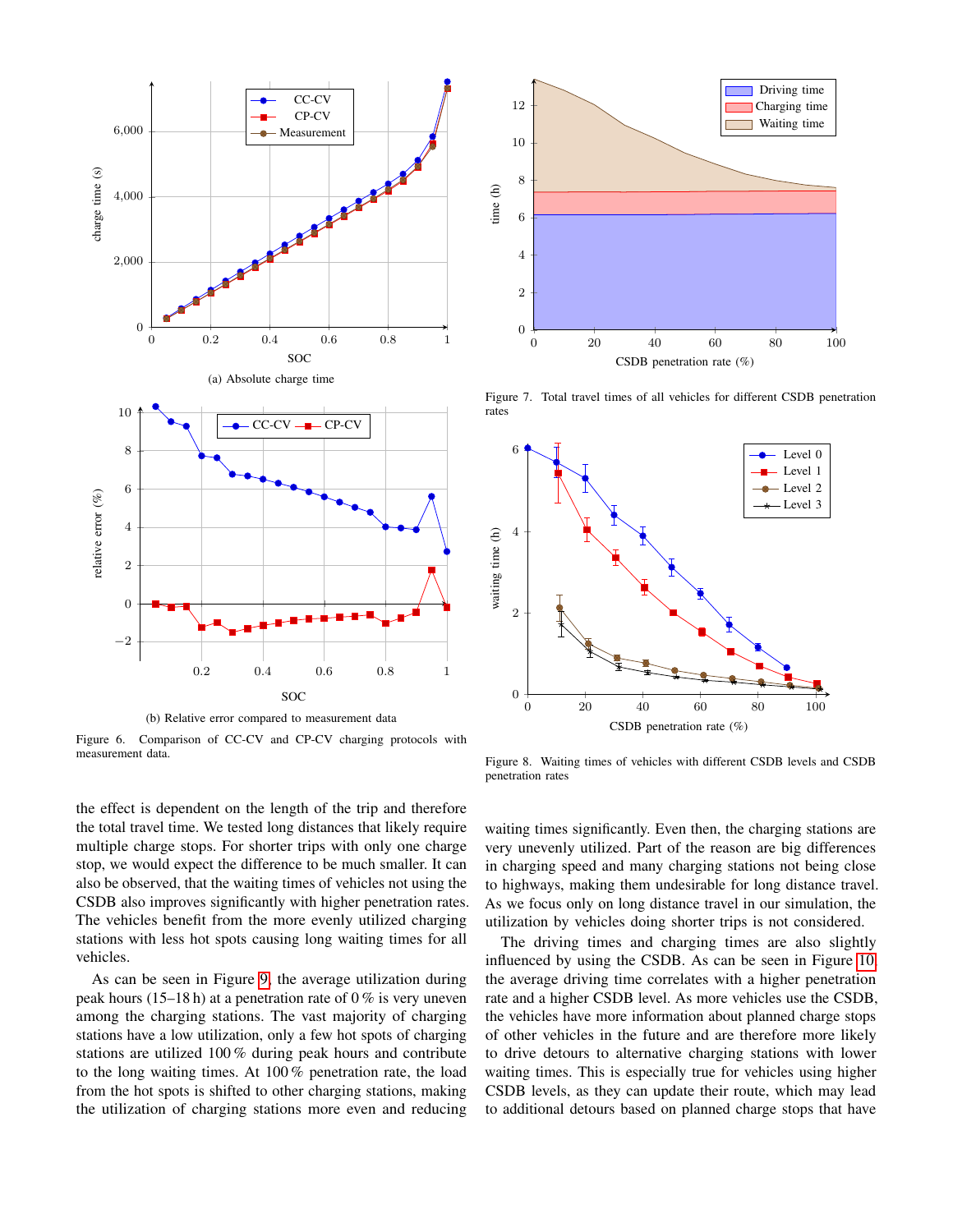

<span id="page-8-0"></span>Figure 6. Comparison of CC-CV and CP-CV charging protocols with measurement data.

the effect is dependent on the length of the trip and therefore the total travel time. We tested long distances that likely require multiple charge stops. For shorter trips with only one charge stop, we would expect the difference to be much smaller. It can also be observed, that the waiting times of vehicles not using the CSDB also improves significantly with higher penetration rates. The vehicles benefit from the more evenly utilized charging stations with less hot spots causing long waiting times for all vehicles.

As can be seen in Figure [9,](#page-9-0) the average utilization during peak hours (15–18 h) at a penetration rate of  $0\%$  is very uneven among the charging stations. The vast majority of charging stations have a low utilization, only a few hot spots of charging stations are utilized 100 % during peak hours and contribute to the long waiting times. At 100 % penetration rate, the load from the hot spots is shifted to other charging stations, making the utilization of charging stations more even and reducing



<span id="page-8-1"></span>Figure 7. Total travel times of all vehicles for different CSDB penetration rates



<span id="page-8-2"></span>Figure 8. Waiting times of vehicles with different CSDB levels and CSDB penetration rates

waiting times significantly. Even then, the charging stations are very unevenly utilized. Part of the reason are big differences in charging speed and many charging stations not being close to highways, making them undesirable for long distance travel. As we focus only on long distance travel in our simulation, the utilization by vehicles doing shorter trips is not considered.

The driving times and charging times are also slightly influenced by using the CSDB. As can be seen in Figure [10,](#page-9-1) the average driving time correlates with a higher penetration rate and a higher CSDB level. As more vehicles use the CSDB, the vehicles have more information about planned charge stops of other vehicles in the future and are therefore more likely to drive detours to alternative charging stations with lower waiting times. This is especially true for vehicles using higher CSDB levels, as they can update their route, which may lead to additional detours based on planned charge stops that have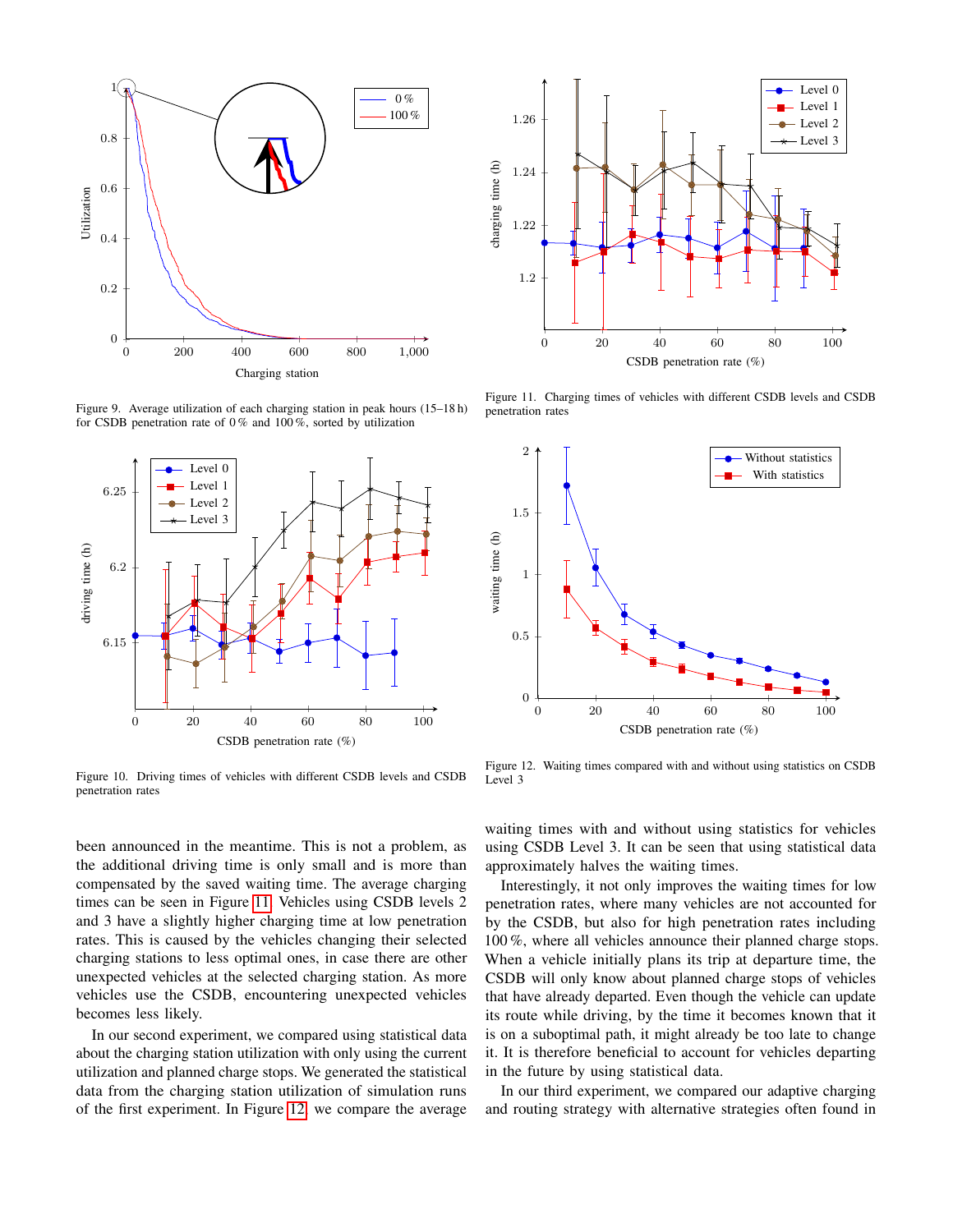

<span id="page-9-0"></span>Figure 9. Average utilization of each charging station in peak hours (15–18 h)



<span id="page-9-1"></span>penetration rates

been announced in the meantime. This is not a problem, as the additional driving time is only small and is more than compensated by the saved waiting time. The average charging times can be seen in Figure [11.](#page-9-2) Vehicles using CSDB levels 2 and 3 have a slightly higher charging time at low penetration rates. This is caused by the vehicles changing their selected charging stations to less optimal ones, in case there are other unexpected vehicles at the selected charging station. As more vehicles use the CSDB, encountering unexpected vehicles becomes less likely.

nes less likely.<br>
ur second experi<br>
the charging stati<br>
tion and planned In our second experiment, we compared using statistical data about the charging station utilization with only using the current utilization and planned charge stops. We generated the statistical data from the charging station utilization of simulation runs of the first experiment. In Figure [12,](#page-9-3) we compare the average



<span id="page-9-2"></span>Figure 11. Charging times of vehicles with different CSDB levels and CSDB penetration rates



<span id="page-9-3"></span>Figure 12. Waiting times compared with and without using statistics on CSDB Level 3

waiting times with and without using statistics for vehicles using CSDB Level 3. It can be seen that using statistical data approximately halves the waiting times.

Interestingly, it not only improves the waiting times for low penetration rates, where many vehicles are not accounted for by the CSDB, but also for high penetration rates including 100 %, where all vehicles announce their planned charge stops. When a vehicle initially plans its trip at departure time, the CSDB will only know about planned charge stops of vehicles that have already departed. Even though the vehicle can update its route while driving, by the time it becomes known that it is on a suboptimal path, it might already be too late to change it. It is therefore beneficial to account for vehicles departing in the future by using statistical data.

In our third experiment, we compared our adaptive charging and routing strategy with alternative strategies often found in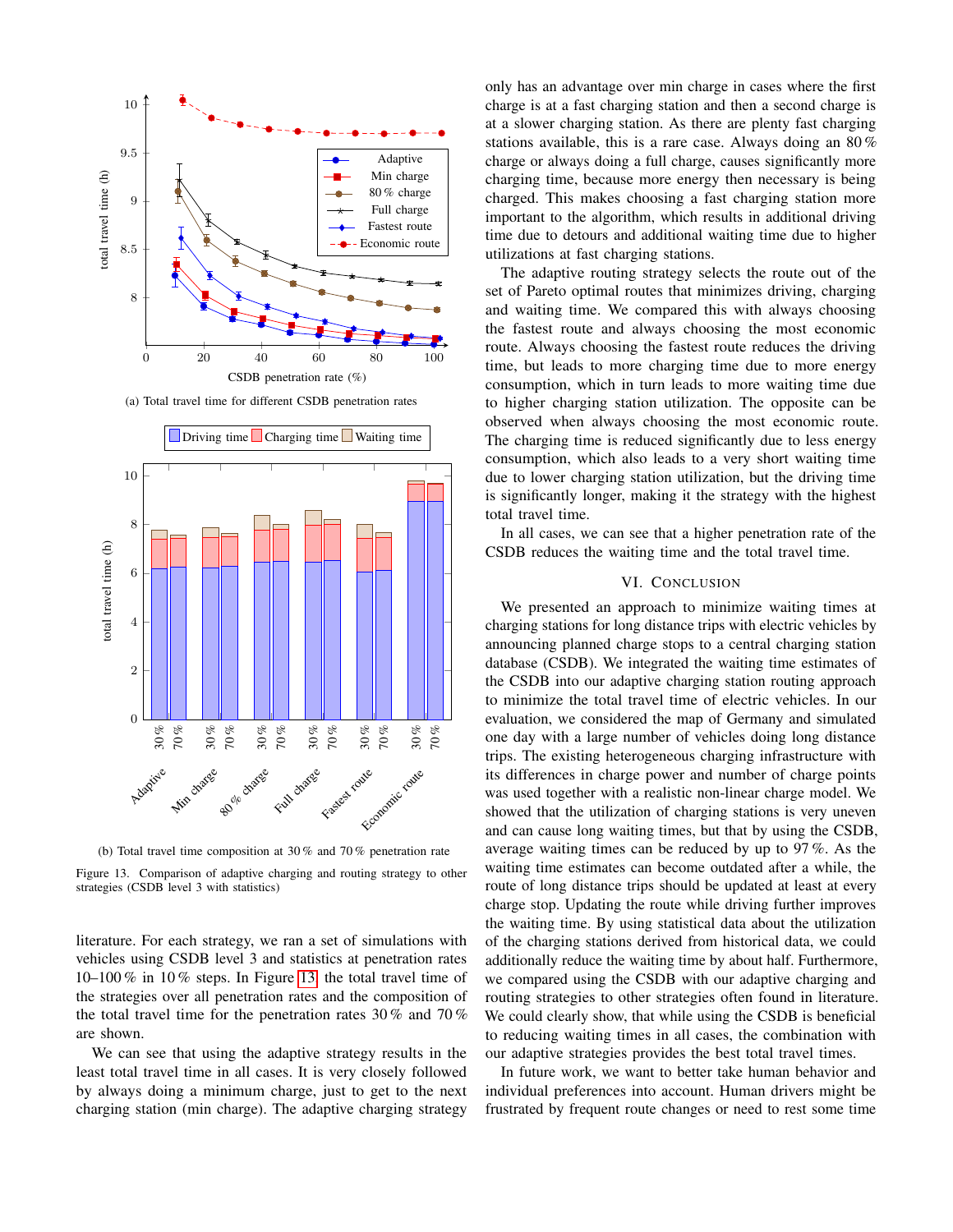

(a) Total travel time for different CSDB penetration rates



<span id="page-10-0"></span>(b) Total travel time composition at 30 % and 70 % penetration rate

Figure 13. Comparison of adaptive charging and routing strategy to other strategies (CSDB level 3 with statistics)

literature. For each strategy, we ran a set of simulations with vehicles using CSDB level 3 and statistics at penetration rates 10–100 % in 10 % steps. In Figure [13,](#page-10-0) the total travel time of the strategies over all penetration rates and the composition of the total travel time for the penetration rates 30 % and 70 % are shown.

We can see that using the adaptive strategy results in the least total travel time in all cases. It is very closely followed by always doing a minimum charge, just to get to the next charging station (min charge). The adaptive charging strategy only has an advantage over min charge in cases where the first charge is at a fast charging station and then a second charge is at a slower charging station. As there are plenty fast charging stations available, this is a rare case. Always doing an 80 % charge or always doing a full charge, causes significantly more charging time, because more energy then necessary is being charged. This makes choosing a fast charging station more important to the algorithm, which results in additional driving time due to detours and additional waiting time due to higher utilizations at fast charging stations.

The adaptive routing strategy selects the route out of the set of Pareto optimal routes that minimizes driving, charging and waiting time. We compared this with always choosing the fastest route and always choosing the most economic route. Always choosing the fastest route reduces the driving time, but leads to more charging time due to more energy consumption, which in turn leads to more waiting time due to higher charging station utilization. The opposite can be observed when always choosing the most economic route. The charging time is reduced significantly due to less energy consumption, which also leads to a very short waiting time due to lower charging station utilization, but the driving time is significantly longer, making it the strategy with the highest total travel time.

In all cases, we can see that a higher penetration rate of the CSDB reduces the waiting time and the total travel time.

# VI. CONCLUSION

We presented an approach to minimize waiting times at charging stations for long distance trips with electric vehicles by announcing planned charge stops to a central charging station database (CSDB). We integrated the waiting time estimates of the CSDB into our adaptive charging station routing approach to minimize the total travel time of electric vehicles. In our evaluation, we considered the map of Germany and simulated one day with a large number of vehicles doing long distance trips. The existing heterogeneous charging infrastructure with its differences in charge power and number of charge points was used together with a realistic non-linear charge model. We showed that the utilization of charging stations is very uneven and can cause long waiting times, but that by using the CSDB, average waiting times can be reduced by up to 97 %. As the waiting time estimates can become outdated after a while, the route of long distance trips should be updated at least at every charge stop. Updating the route while driving further improves the waiting time. By using statistical data about the utilization of the charging stations derived from historical data, we could additionally reduce the waiting time by about half. Furthermore, we compared using the CSDB with our adaptive charging and routing strategies to other strategies often found in literature. We could clearly show, that while using the CSDB is beneficial to reducing waiting times in all cases, the combination with our adaptive strategies provides the best total travel times.

In future work, we want to better take human behavior and individual preferences into account. Human drivers might be frustrated by frequent route changes or need to rest some time